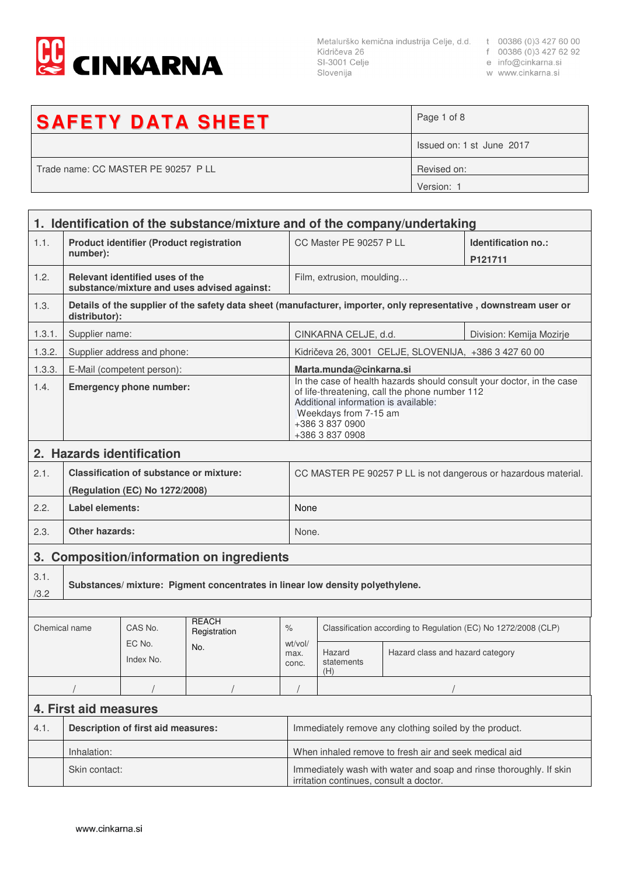

Metalurško kemična industrija Celje, d.d. t 00386 (0)3 427 60 00<br>Kidričeva 26 f 00386 (0)3 427 62 92<br>SI-3001 Celje e info@cinkarna.si<br>Slovenija w www.cinkarna.si Slovenija

- 
- 
- w www.cinkarna.si

| <b>SAFETY DATA SHEET</b>            | Page 1 of 8               |
|-------------------------------------|---------------------------|
|                                     | Issued on: 1 st June 2017 |
| Trade name: CC MASTER PE 90257 P LL | Revised on:               |
|                                     | Version: 1                |

|                                                     | 1. Identification of the substance/mixture and of the company/undertaking    |                                                                                  |                                             |                                                                                                                                                                                                                                |                                                                 |                                                       |                                                                                                                   |
|-----------------------------------------------------|------------------------------------------------------------------------------|----------------------------------------------------------------------------------|---------------------------------------------|--------------------------------------------------------------------------------------------------------------------------------------------------------------------------------------------------------------------------------|-----------------------------------------------------------------|-------------------------------------------------------|-------------------------------------------------------------------------------------------------------------------|
| 1.1.                                                | <b>Product identifier (Product registration</b><br>number):                  |                                                                                  |                                             |                                                                                                                                                                                                                                | CC Master PE 90257 P LL                                         | Identification no.:<br>P121711                        |                                                                                                                   |
| 1.2.                                                |                                                                              | Relevant identified uses of the                                                  | substance/mixture and uses advised against: |                                                                                                                                                                                                                                | Film, extrusion, moulding                                       |                                                       |                                                                                                                   |
| 1.3.                                                | distributor):                                                                |                                                                                  |                                             |                                                                                                                                                                                                                                |                                                                 |                                                       | Details of the supplier of the safety data sheet (manufacturer, importer, only representative, downstream user or |
| 1.3.1.                                              | Supplier name:                                                               |                                                                                  |                                             |                                                                                                                                                                                                                                | CINKARNA CELJE, d.d.<br>Division: Kemija Mozirje                |                                                       |                                                                                                                   |
| 1.3.2.                                              |                                                                              | Supplier address and phone:                                                      |                                             |                                                                                                                                                                                                                                |                                                                 | Kidričeva 26, 3001 CELJE, SLOVENIJA, +386 3 427 60 00 |                                                                                                                   |
| 1.3.3.                                              |                                                                              | E-Mail (competent person):                                                       |                                             |                                                                                                                                                                                                                                | Marta.munda@cinkarna.si                                         |                                                       |                                                                                                                   |
| 1.4.                                                | <b>Emergency phone number:</b>                                               |                                                                                  |                                             | In the case of health hazards should consult your doctor, in the case<br>of life-threatening, call the phone number 112<br>Additional information is available:<br>Weekdays from 7-15 am<br>+386 3 837 0900<br>+386 3 837 0908 |                                                                 |                                                       |                                                                                                                   |
|                                                     |                                                                              | 2. Hazards identification                                                        |                                             |                                                                                                                                                                                                                                |                                                                 |                                                       |                                                                                                                   |
| 2.1.                                                |                                                                              | <b>Classification of substance or mixture:</b><br>(Regulation (EC) No 1272/2008) |                                             |                                                                                                                                                                                                                                | CC MASTER PE 90257 P LL is not dangerous or hazardous material. |                                                       |                                                                                                                   |
| 2.2.                                                | Label elements:                                                              |                                                                                  |                                             |                                                                                                                                                                                                                                | None                                                            |                                                       |                                                                                                                   |
| 2.3.                                                | <b>Other hazards:</b>                                                        |                                                                                  |                                             | None.                                                                                                                                                                                                                          |                                                                 |                                                       |                                                                                                                   |
| <b>Composition/information on ingredients</b><br>3. |                                                                              |                                                                                  |                                             |                                                                                                                                                                                                                                |                                                                 |                                                       |                                                                                                                   |
| 3.1.<br>/3.2                                        | Substances/mixture: Pigment concentrates in linear low density polyethylene. |                                                                                  |                                             |                                                                                                                                                                                                                                |                                                                 |                                                       |                                                                                                                   |
|                                                     |                                                                              |                                                                                  |                                             |                                                                                                                                                                                                                                |                                                                 |                                                       |                                                                                                                   |
| Chemical name                                       |                                                                              | CAS No.                                                                          | <b>REACH</b><br>Registration                | $\%$                                                                                                                                                                                                                           | Classification according to Regulation (EC) No 1272/2008 (CLP)  |                                                       |                                                                                                                   |
|                                                     | EC No.<br>No.<br>Index No.                                                   |                                                                                  | wt/vol/<br>max.<br>conc.                    | Hazard<br>statements<br>(H)                                                                                                                                                                                                    | Hazard class and hazard category                                |                                                       |                                                                                                                   |
|                                                     |                                                                              |                                                                                  |                                             |                                                                                                                                                                                                                                |                                                                 |                                                       |                                                                                                                   |
| 4. First aid measures                               |                                                                              |                                                                                  |                                             |                                                                                                                                                                                                                                |                                                                 |                                                       |                                                                                                                   |
| 4.1.                                                | <b>Description of first aid measures:</b>                                    |                                                                                  |                                             | Immediately remove any clothing soiled by the product.                                                                                                                                                                         |                                                                 |                                                       |                                                                                                                   |
|                                                     | Inhalation:                                                                  |                                                                                  |                                             | When inhaled remove to fresh air and seek medical aid                                                                                                                                                                          |                                                                 |                                                       |                                                                                                                   |
|                                                     | Skin contact:                                                                |                                                                                  |                                             | Immediately wash with water and soap and rinse thoroughly. If skin<br>irritation continues, consult a doctor.                                                                                                                  |                                                                 |                                                       |                                                                                                                   |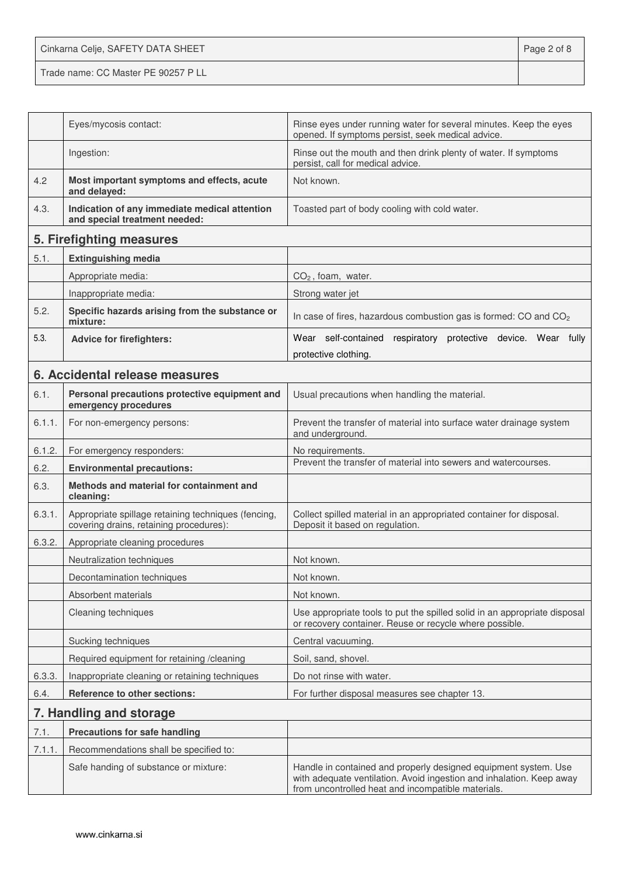Cinkarna Celje, SAFETY DATA SHEET **Page 2 of 8** Trade name: CC Master PE 90257 P LL

|        | Eyes/mycosis contact:                                                                          | Rinse eyes under running water for several minutes. Keep the eyes<br>opened. If symptoms persist, seek medical advice.                                                                        |  |
|--------|------------------------------------------------------------------------------------------------|-----------------------------------------------------------------------------------------------------------------------------------------------------------------------------------------------|--|
|        | Ingestion:                                                                                     | Rinse out the mouth and then drink plenty of water. If symptoms<br>persist, call for medical advice.                                                                                          |  |
| 4.2    | Most important symptoms and effects, acute<br>and delayed:                                     | Not known.                                                                                                                                                                                    |  |
| 4.3.   | Indication of any immediate medical attention<br>and special treatment needed:                 | Toasted part of body cooling with cold water.                                                                                                                                                 |  |
|        | 5. Firefighting measures                                                                       |                                                                                                                                                                                               |  |
| 5.1.   | <b>Extinguishing media</b>                                                                     |                                                                                                                                                                                               |  |
|        | Appropriate media:                                                                             | $CO2$ , foam, water.                                                                                                                                                                          |  |
|        | Inappropriate media:                                                                           | Strong water jet                                                                                                                                                                              |  |
| 5.2.   | Specific hazards arising from the substance or<br>mixture:                                     | In case of fires, hazardous combustion gas is formed: CO and CO <sub>2</sub>                                                                                                                  |  |
| 5.3.   | <b>Advice for firefighters:</b>                                                                | Wear self-contained respiratory protective device. Wear fully                                                                                                                                 |  |
|        |                                                                                                | protective clothing.                                                                                                                                                                          |  |
|        | 6. Accidental release measures                                                                 |                                                                                                                                                                                               |  |
| 6.1.   | Personal precautions protective equipment and<br>emergency procedures                          | Usual precautions when handling the material.                                                                                                                                                 |  |
| 6.1.1. | For non-emergency persons:                                                                     | Prevent the transfer of material into surface water drainage system<br>and underground.                                                                                                       |  |
| 6.1.2. | For emergency responders:                                                                      | No requirements.                                                                                                                                                                              |  |
| 6.2.   | <b>Environmental precautions:</b>                                                              | Prevent the transfer of material into sewers and watercourses.                                                                                                                                |  |
| 6.3.   | Methods and material for containment and<br>cleaning:                                          |                                                                                                                                                                                               |  |
| 6.3.1. | Appropriate spillage retaining techniques (fencing,<br>covering drains, retaining procedures): | Collect spilled material in an appropriated container for disposal.<br>Deposit it based on regulation.                                                                                        |  |
| 6.3.2. | Appropriate cleaning procedures                                                                |                                                                                                                                                                                               |  |
|        | Neutralization techniques                                                                      | Not known.                                                                                                                                                                                    |  |
|        | Decontamination techniques                                                                     | Not known.                                                                                                                                                                                    |  |
|        | Absorbent materials                                                                            | Not known.                                                                                                                                                                                    |  |
|        | Cleaning techniques                                                                            | Use appropriate tools to put the spilled solid in an appropriate disposal<br>or recovery container. Reuse or recycle where possible.                                                          |  |
|        | Sucking techniques                                                                             | Central vacuuming.                                                                                                                                                                            |  |
|        | Required equipment for retaining /cleaning                                                     | Soil, sand, shovel.                                                                                                                                                                           |  |
| 6.3.3. | Inappropriate cleaning or retaining techniques                                                 | Do not rinse with water.                                                                                                                                                                      |  |
| 6.4.   | <b>Reference to other sections:</b>                                                            | For further disposal measures see chapter 13.                                                                                                                                                 |  |
|        | 7. Handling and storage                                                                        |                                                                                                                                                                                               |  |
| 7.1.   | <b>Precautions for safe handling</b>                                                           |                                                                                                                                                                                               |  |
| 7.1.1. | Recommendations shall be specified to:                                                         |                                                                                                                                                                                               |  |
|        | Safe handing of substance or mixture:                                                          | Handle in contained and properly designed equipment system. Use<br>with adequate ventilation. Avoid ingestion and inhalation. Keep away<br>from uncontrolled heat and incompatible materials. |  |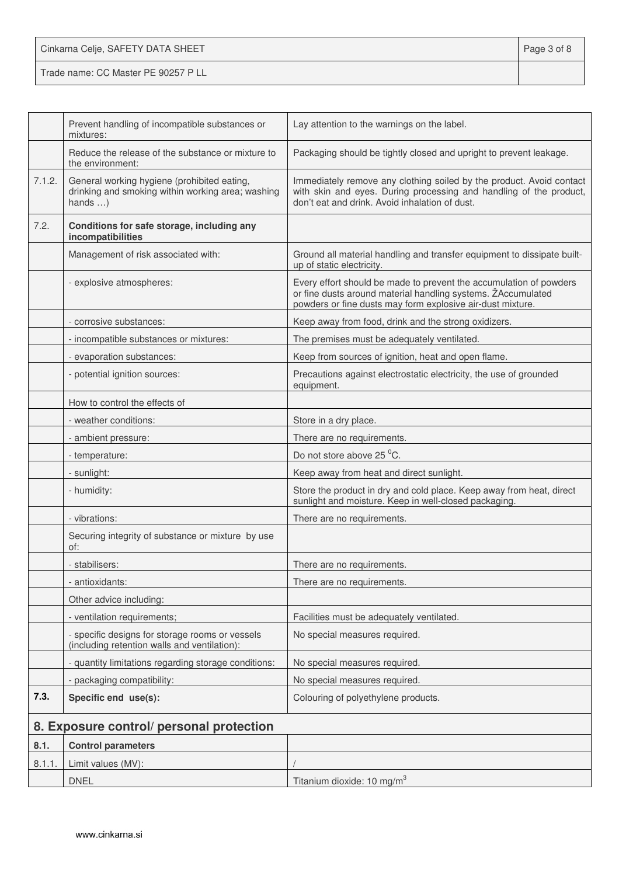| Cinkarna Celje, SAFETY DATA SHEET   | Page 3 of 8 |
|-------------------------------------|-------------|
| Trade name: CC Master PE 90257 P LL |             |

|        | Prevent handling of incompatible substances or<br>mixtures:                                                         | Lay attention to the warnings on the label.                                                                                                                                                      |
|--------|---------------------------------------------------------------------------------------------------------------------|--------------------------------------------------------------------------------------------------------------------------------------------------------------------------------------------------|
|        | Reduce the release of the substance or mixture to<br>the environment:                                               | Packaging should be tightly closed and upright to prevent leakage.                                                                                                                               |
| 7.1.2. | General working hygiene (prohibited eating,<br>drinking and smoking within working area; washing<br>hands $\dots$ ) | Immediately remove any clothing soiled by the product. Avoid contact<br>with skin and eyes. During processing and handling of the product,<br>don't eat and drink. Avoid inhalation of dust.     |
| 7.2.   | Conditions for safe storage, including any<br>incompatibilities                                                     |                                                                                                                                                                                                  |
|        | Management of risk associated with:                                                                                 | Ground all material handling and transfer equipment to dissipate built-<br>up of static electricity.                                                                                             |
|        | - explosive atmospheres:                                                                                            | Every effort should be made to prevent the accumulation of powders<br>or fine dusts around material handling systems. ŽAccumulated<br>powders or fine dusts may form explosive air-dust mixture. |
|        | - corrosive substances:                                                                                             | Keep away from food, drink and the strong oxidizers.                                                                                                                                             |
|        | - incompatible substances or mixtures:                                                                              | The premises must be adequately ventilated.                                                                                                                                                      |
|        | - evaporation substances:                                                                                           | Keep from sources of ignition, heat and open flame.                                                                                                                                              |
|        | - potential ignition sources:                                                                                       | Precautions against electrostatic electricity, the use of grounded<br>equipment.                                                                                                                 |
|        | How to control the effects of                                                                                       |                                                                                                                                                                                                  |
|        | - weather conditions:                                                                                               | Store in a dry place.                                                                                                                                                                            |
|        | - ambient pressure:                                                                                                 | There are no requirements.                                                                                                                                                                       |
|        | - temperature:                                                                                                      | Do not store above 25 °C.                                                                                                                                                                        |
|        | - sunlight:                                                                                                         | Keep away from heat and direct sunlight.                                                                                                                                                         |
|        | - humidity:                                                                                                         | Store the product in dry and cold place. Keep away from heat, direct<br>sunlight and moisture. Keep in well-closed packaging.                                                                    |
|        | - vibrations:                                                                                                       | There are no requirements.                                                                                                                                                                       |
|        | Securing integrity of substance or mixture by use<br>of:                                                            |                                                                                                                                                                                                  |
|        | - stabilisers:                                                                                                      | There are no requirements.                                                                                                                                                                       |
|        | - antioxidants:                                                                                                     | There are no requirements.                                                                                                                                                                       |
|        | Other advice including:                                                                                             |                                                                                                                                                                                                  |
|        | - ventilation requirements;                                                                                         | Facilities must be adequately ventilated.                                                                                                                                                        |
|        | - specific designs for storage rooms or vessels<br>(including retention walls and ventilation):                     | No special measures required.                                                                                                                                                                    |
|        | - quantity limitations regarding storage conditions:                                                                | No special measures required.                                                                                                                                                                    |
|        | - packaging compatibility:                                                                                          | No special measures required.                                                                                                                                                                    |
| 7.3.   | Specific end use(s):                                                                                                | Colouring of polyethylene products.                                                                                                                                                              |
|        | 8. Exposure control/ personal protection                                                                            |                                                                                                                                                                                                  |
| 8.1.   | <b>Control parameters</b>                                                                                           |                                                                                                                                                                                                  |
| 8.1.1. | Limit values (MV):                                                                                                  |                                                                                                                                                                                                  |
|        | <b>DNEL</b>                                                                                                         | Titanium dioxide: 10 mg/m <sup>3</sup>                                                                                                                                                           |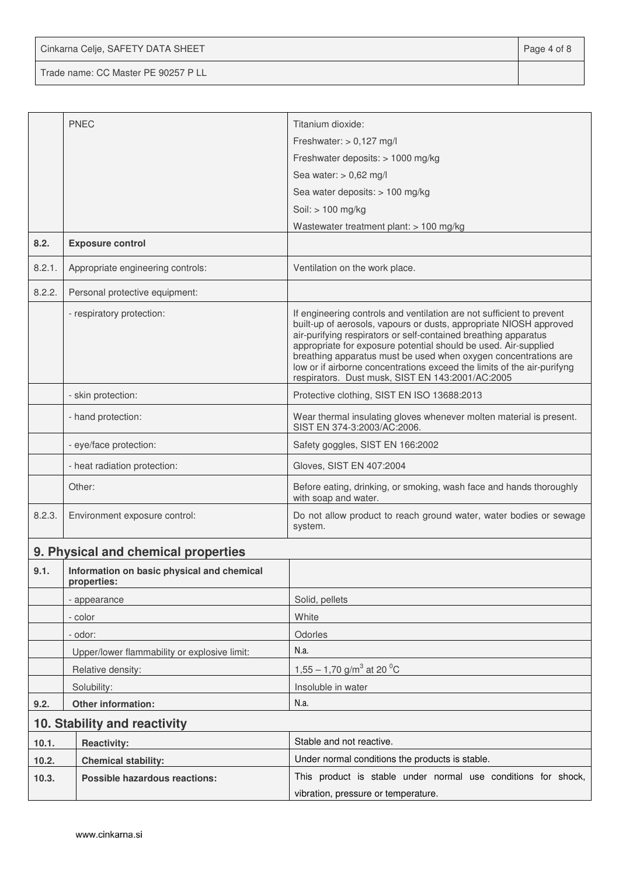Cinkarna Celje, SAFETY DATA SHEET **Page 4 of 8** 

Trade name: CC Master PE 90257 P LL

|        | <b>PNEC</b>                                               | Titanium dioxide:                                                                                                                                                                                                                                                                                                                                                                                                                                                                   |  |  |
|--------|-----------------------------------------------------------|-------------------------------------------------------------------------------------------------------------------------------------------------------------------------------------------------------------------------------------------------------------------------------------------------------------------------------------------------------------------------------------------------------------------------------------------------------------------------------------|--|--|
|        |                                                           | Freshwater: $> 0,127$ mg/l                                                                                                                                                                                                                                                                                                                                                                                                                                                          |  |  |
|        |                                                           | Freshwater deposits: > 1000 mg/kg                                                                                                                                                                                                                                                                                                                                                                                                                                                   |  |  |
|        |                                                           | Sea water: $> 0,62$ mg/l                                                                                                                                                                                                                                                                                                                                                                                                                                                            |  |  |
|        |                                                           | Sea water deposits: > 100 mg/kg                                                                                                                                                                                                                                                                                                                                                                                                                                                     |  |  |
|        |                                                           | Soil: > 100 mg/kg                                                                                                                                                                                                                                                                                                                                                                                                                                                                   |  |  |
|        |                                                           | Wastewater treatment plant: $> 100$ mg/kg                                                                                                                                                                                                                                                                                                                                                                                                                                           |  |  |
| 8.2.   | <b>Exposure control</b>                                   |                                                                                                                                                                                                                                                                                                                                                                                                                                                                                     |  |  |
| 8.2.1. | Appropriate engineering controls:                         | Ventilation on the work place.                                                                                                                                                                                                                                                                                                                                                                                                                                                      |  |  |
| 8.2.2. | Personal protective equipment:                            |                                                                                                                                                                                                                                                                                                                                                                                                                                                                                     |  |  |
|        | - respiratory protection:                                 | If engineering controls and ventilation are not sufficient to prevent<br>built-up of aerosols, vapours or dusts, appropriate NIOSH approved<br>air-purifying respirators or self-contained breathing apparatus<br>appropriate for exposure potential should be used. Air-supplied<br>breathing apparatus must be used when oxygen concentrations are<br>low or if airborne concentrations exceed the limits of the air-purifyng<br>respirators. Dust musk, SIST EN 143:2001/AC:2005 |  |  |
|        | - skin protection:                                        | Protective clothing, SIST EN ISO 13688:2013                                                                                                                                                                                                                                                                                                                                                                                                                                         |  |  |
|        | - hand protection:                                        | Wear thermal insulating gloves whenever molten material is present.<br>SIST EN 374-3:2003/AC:2006.                                                                                                                                                                                                                                                                                                                                                                                  |  |  |
|        | - eye/face protection:                                    | Safety goggles, SIST EN 166:2002                                                                                                                                                                                                                                                                                                                                                                                                                                                    |  |  |
|        | - heat radiation protection:                              | Gloves, SIST EN 407:2004                                                                                                                                                                                                                                                                                                                                                                                                                                                            |  |  |
|        | Other:                                                    | Before eating, drinking, or smoking, wash face and hands thoroughly<br>with soap and water.                                                                                                                                                                                                                                                                                                                                                                                         |  |  |
| 8.2.3. | Environment exposure control:                             | Do not allow product to reach ground water, water bodies or sewage<br>system.                                                                                                                                                                                                                                                                                                                                                                                                       |  |  |
|        | 9. Physical and chemical properties                       |                                                                                                                                                                                                                                                                                                                                                                                                                                                                                     |  |  |
| 9.1.   | Information on basic physical and chemical<br>properties: |                                                                                                                                                                                                                                                                                                                                                                                                                                                                                     |  |  |
|        | - appearance                                              | Solid, pellets                                                                                                                                                                                                                                                                                                                                                                                                                                                                      |  |  |
|        | - color                                                   | White                                                                                                                                                                                                                                                                                                                                                                                                                                                                               |  |  |
|        | - odor:                                                   | Odorles                                                                                                                                                                                                                                                                                                                                                                                                                                                                             |  |  |
|        | Upper/lower flammability or explosive limit:              | N.a.                                                                                                                                                                                                                                                                                                                                                                                                                                                                                |  |  |
|        | Relative density:                                         | 1,55 – 1,70 g/m <sup>3</sup> at 20 <sup>o</sup> C                                                                                                                                                                                                                                                                                                                                                                                                                                   |  |  |
|        | Solubility:                                               | Insoluble in water                                                                                                                                                                                                                                                                                                                                                                                                                                                                  |  |  |
| 9.2.   | Other information:                                        | N.a.                                                                                                                                                                                                                                                                                                                                                                                                                                                                                |  |  |
|        | 10. Stability and reactivity                              |                                                                                                                                                                                                                                                                                                                                                                                                                                                                                     |  |  |
| 10.1.  | <b>Reactivity:</b>                                        | Stable and not reactive.                                                                                                                                                                                                                                                                                                                                                                                                                                                            |  |  |
| 10.2.  | <b>Chemical stability:</b>                                | Under normal conditions the products is stable.                                                                                                                                                                                                                                                                                                                                                                                                                                     |  |  |
| 10.3.  | Possible hazardous reactions:                             | This product is stable under normal use conditions for shock,                                                                                                                                                                                                                                                                                                                                                                                                                       |  |  |
|        |                                                           | vibration, pressure or temperature.                                                                                                                                                                                                                                                                                                                                                                                                                                                 |  |  |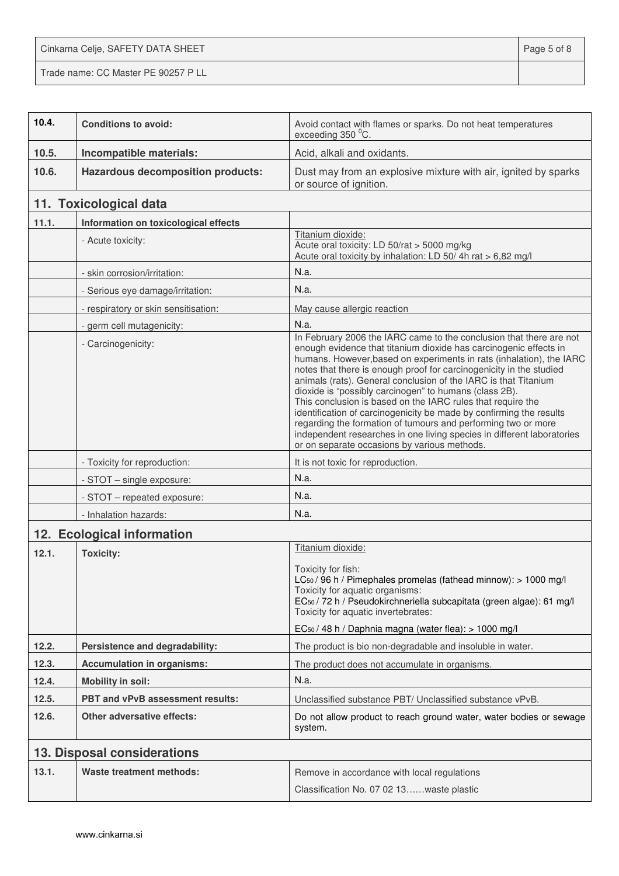Cinkarna Celje, SAFETY DATA SHEET **Page 5 of 8** Trade name: CC Master PE 90257 P LL

| 10.4. | <b>Conditions to avoid:</b>              | Avoid contact with flames or sparks. Do not heat temperatures<br>exceeding 350 °C.                                                                                                                                                                                                                                                                                                                                                                                                                                                                                                                                                                                                                                                                    |
|-------|------------------------------------------|-------------------------------------------------------------------------------------------------------------------------------------------------------------------------------------------------------------------------------------------------------------------------------------------------------------------------------------------------------------------------------------------------------------------------------------------------------------------------------------------------------------------------------------------------------------------------------------------------------------------------------------------------------------------------------------------------------------------------------------------------------|
| 10.5. | Incompatible materials:                  | Acid, alkali and oxidants.                                                                                                                                                                                                                                                                                                                                                                                                                                                                                                                                                                                                                                                                                                                            |
| 10.6. | <b>Hazardous decomposition products:</b> | Dust may from an explosive mixture with air, ignited by sparks<br>or source of ignition.                                                                                                                                                                                                                                                                                                                                                                                                                                                                                                                                                                                                                                                              |
|       | 11. Toxicological data                   |                                                                                                                                                                                                                                                                                                                                                                                                                                                                                                                                                                                                                                                                                                                                                       |
| 11.1. | Information on toxicological effects     |                                                                                                                                                                                                                                                                                                                                                                                                                                                                                                                                                                                                                                                                                                                                                       |
|       | - Acute toxicity:                        | Titanium dioxide:<br>Acute oral toxicity: LD 50/rat > 5000 mg/kg<br>Acute oral toxicity by inhalation: LD 50/4h rat > 6,82 mg/l                                                                                                                                                                                                                                                                                                                                                                                                                                                                                                                                                                                                                       |
|       | - skin corrosion/irritation:             | N.a.                                                                                                                                                                                                                                                                                                                                                                                                                                                                                                                                                                                                                                                                                                                                                  |
|       | - Serious eye damage/irritation:         | N.a.                                                                                                                                                                                                                                                                                                                                                                                                                                                                                                                                                                                                                                                                                                                                                  |
|       | - respiratory or skin sensitisation:     | May cause allergic reaction                                                                                                                                                                                                                                                                                                                                                                                                                                                                                                                                                                                                                                                                                                                           |
|       | - germ cell mutagenicity:                | N.a.                                                                                                                                                                                                                                                                                                                                                                                                                                                                                                                                                                                                                                                                                                                                                  |
|       | - Carcinogenicity:                       | In February 2006 the IARC came to the conclusion that there are not<br>enough evidence that titanium dioxide has carcinogenic effects in<br>humans. However, based on experiments in rats (inhalation), the IARC<br>notes that there is enough proof for carcinogenicity in the studied<br>animals (rats). General conclusion of the IARC is that Titanium<br>dioxide is "possibly carcinogen" to humans (class 2B).<br>This conclusion is based on the IARC rules that require the<br>identification of carcinogenicity be made by confirming the results<br>regarding the formation of tumours and performing two or more<br>independent researches in one living species in different laboratories<br>or on separate occasions by various methods. |
|       | - Toxicity for reproduction:             | It is not toxic for reproduction.                                                                                                                                                                                                                                                                                                                                                                                                                                                                                                                                                                                                                                                                                                                     |
|       | - STOT - single exposure:                | N.a.                                                                                                                                                                                                                                                                                                                                                                                                                                                                                                                                                                                                                                                                                                                                                  |
|       | - STOT - repeated exposure:              | N.a.                                                                                                                                                                                                                                                                                                                                                                                                                                                                                                                                                                                                                                                                                                                                                  |
|       | - Inhalation hazards:                    | N.a.                                                                                                                                                                                                                                                                                                                                                                                                                                                                                                                                                                                                                                                                                                                                                  |
|       | 12. Ecological information               |                                                                                                                                                                                                                                                                                                                                                                                                                                                                                                                                                                                                                                                                                                                                                       |
| 12.1. | <b>Toxicity:</b>                         | Titanium dioxide:<br>Toxicity for fish:<br>LC <sub>50</sub> / 96 h / Pimephales promelas (fathead minnow): > 1000 mg/l<br>Toxicity for aquatic organisms:<br>EC <sub>50</sub> / 72 h / Pseudokirchneriella subcapitata (green algae): 61 mg/l<br>Toxicity for aquatic invertebrates:<br>EC <sub>50</sub> / 48 h / Daphnia magna (water flea): > 1000 mg/l                                                                                                                                                                                                                                                                                                                                                                                             |
| 12.2. | Persistence and degradability:           | The product is bio non-degradable and insoluble in water.                                                                                                                                                                                                                                                                                                                                                                                                                                                                                                                                                                                                                                                                                             |
| 12.3. | <b>Accumulation in organisms:</b>        | The product does not accumulate in organisms.                                                                                                                                                                                                                                                                                                                                                                                                                                                                                                                                                                                                                                                                                                         |
| 12.4. | <b>Mobility in soil:</b>                 | N.a.                                                                                                                                                                                                                                                                                                                                                                                                                                                                                                                                                                                                                                                                                                                                                  |
| 12.5. | PBT and vPvB assessment results:         | Unclassified substance PBT/ Unclassified substance vPvB.                                                                                                                                                                                                                                                                                                                                                                                                                                                                                                                                                                                                                                                                                              |
| 12.6. | <b>Other adversative effects:</b>        | Do not allow product to reach ground water, water bodies or sewage<br>system.                                                                                                                                                                                                                                                                                                                                                                                                                                                                                                                                                                                                                                                                         |
|       | 13. Disposal considerations              |                                                                                                                                                                                                                                                                                                                                                                                                                                                                                                                                                                                                                                                                                                                                                       |
| 13.1. | <b>Waste treatment methods:</b>          | Remove in accordance with local regulations<br>Classification No. 07 02 13waste plastic                                                                                                                                                                                                                                                                                                                                                                                                                                                                                                                                                                                                                                                               |
|       |                                          |                                                                                                                                                                                                                                                                                                                                                                                                                                                                                                                                                                                                                                                                                                                                                       |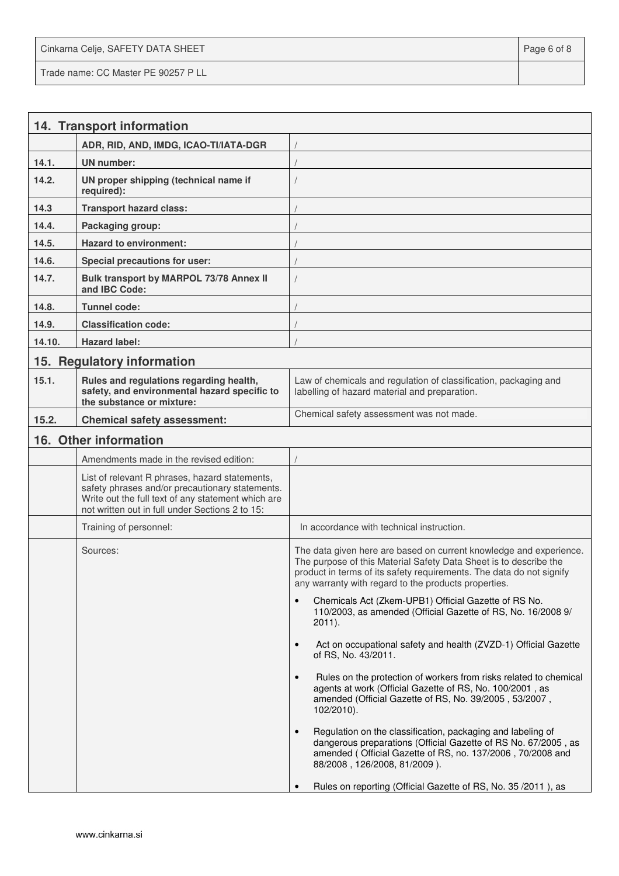Cinkarna Celje, SAFETY DATA SHEET **Page 6 of 8** and 2011 12 and 2012 12 and 2012 12 and 2012 12 and 2012 12 and 201 Trade name: CC Master PE 90257 P LL

|        | 14. Transport information                                                                                                                                                                                  |                                                                                                                                                                                                                                                                         |
|--------|------------------------------------------------------------------------------------------------------------------------------------------------------------------------------------------------------------|-------------------------------------------------------------------------------------------------------------------------------------------------------------------------------------------------------------------------------------------------------------------------|
|        | ADR, RID, AND, IMDG, ICAO-TI/IATA-DGR                                                                                                                                                                      |                                                                                                                                                                                                                                                                         |
| 14.1.  | UN number:                                                                                                                                                                                                 |                                                                                                                                                                                                                                                                         |
| 14.2.  | UN proper shipping (technical name if<br>required):                                                                                                                                                        |                                                                                                                                                                                                                                                                         |
| 14.3   | <b>Transport hazard class:</b>                                                                                                                                                                             |                                                                                                                                                                                                                                                                         |
| 14.4.  | Packaging group:                                                                                                                                                                                           |                                                                                                                                                                                                                                                                         |
| 14.5.  | <b>Hazard to environment:</b>                                                                                                                                                                              |                                                                                                                                                                                                                                                                         |
| 14.6.  | Special precautions for user:                                                                                                                                                                              |                                                                                                                                                                                                                                                                         |
| 14.7.  | Bulk transport by MARPOL 73/78 Annex II<br>and IBC Code:                                                                                                                                                   |                                                                                                                                                                                                                                                                         |
| 14.8.  | <b>Tunnel code:</b>                                                                                                                                                                                        |                                                                                                                                                                                                                                                                         |
| 14.9.  | <b>Classification code:</b>                                                                                                                                                                                |                                                                                                                                                                                                                                                                         |
| 14.10. | <b>Hazard label:</b>                                                                                                                                                                                       |                                                                                                                                                                                                                                                                         |
| 15.    | <b>Regulatory information</b>                                                                                                                                                                              |                                                                                                                                                                                                                                                                         |
| 15.1.  | Rules and regulations regarding health,<br>safety, and environmental hazard specific to<br>the substance or mixture:                                                                                       | Law of chemicals and regulation of classification, packaging and<br>labelling of hazard material and preparation.                                                                                                                                                       |
| 15.2.  | <b>Chemical safety assessment:</b>                                                                                                                                                                         | Chemical safety assessment was not made.                                                                                                                                                                                                                                |
|        | 16. Other information                                                                                                                                                                                      |                                                                                                                                                                                                                                                                         |
|        | Amendments made in the revised edition:                                                                                                                                                                    |                                                                                                                                                                                                                                                                         |
|        | List of relevant R phrases, hazard statements,<br>safety phrases and/or precautionary statements.<br>Write out the full text of any statement which are<br>not written out in full under Sections 2 to 15: |                                                                                                                                                                                                                                                                         |
|        | Training of personnel:                                                                                                                                                                                     | In accordance with technical instruction.                                                                                                                                                                                                                               |
|        | Sources:                                                                                                                                                                                                   | The data given here are based on current knowledge and experience.<br>The purpose of this Material Safety Data Sheet is to describe the<br>product in terms of its safety requirements. The data do not signify<br>any warranty with regard to the products properties. |
|        |                                                                                                                                                                                                            | Chemicals Act (Zkem-UPB1) Official Gazette of RS No.<br>110/2003, as amended (Official Gazette of RS, No. 16/2008 9/<br>$2011$ ).                                                                                                                                       |
|        |                                                                                                                                                                                                            | Act on occupational safety and health (ZVZD-1) Official Gazette<br>$\bullet$<br>of RS, No. 43/2011.                                                                                                                                                                     |
|        |                                                                                                                                                                                                            | Rules on the protection of workers from risks related to chemical<br>agents at work (Official Gazette of RS, No. 100/2001, as<br>amended (Official Gazette of RS, No. 39/2005, 53/2007,<br>102/2010).                                                                   |
|        |                                                                                                                                                                                                            | Regulation on the classification, packaging and labeling of<br>$\bullet$<br>dangerous preparations (Official Gazette of RS No. 67/2005, as<br>amended (Official Gazette of RS, no. 137/2006, 70/2008 and<br>88/2008, 126/2008, 81/2009).                                |
|        |                                                                                                                                                                                                            | Rules on reporting (Official Gazette of RS, No. 35/2011), as                                                                                                                                                                                                            |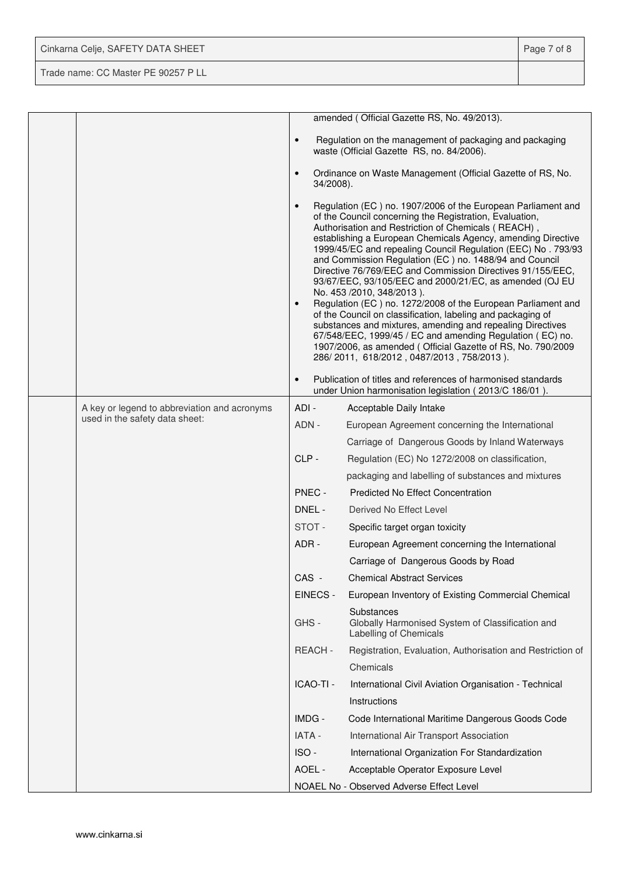| Cinkarna Celje, SAFETY DATA SHEET   | Page 7 of 8 |
|-------------------------------------|-------------|
| Trade name: CC Master PE 90257 P LL |             |

|  |                                                                                |                        | amended (Official Gazette RS, No. 49/2013).                                                                                                                                                                                                                                                                                                                                                                                                                                                                                                                                                                                                                                                                                                                                                                                                                                                          |
|--|--------------------------------------------------------------------------------|------------------------|------------------------------------------------------------------------------------------------------------------------------------------------------------------------------------------------------------------------------------------------------------------------------------------------------------------------------------------------------------------------------------------------------------------------------------------------------------------------------------------------------------------------------------------------------------------------------------------------------------------------------------------------------------------------------------------------------------------------------------------------------------------------------------------------------------------------------------------------------------------------------------------------------|
|  |                                                                                | $\bullet$              | Regulation on the management of packaging and packaging<br>waste (Official Gazette RS, no. 84/2006).                                                                                                                                                                                                                                                                                                                                                                                                                                                                                                                                                                                                                                                                                                                                                                                                 |
|  |                                                                                | $\bullet$<br>34/2008). | Ordinance on Waste Management (Official Gazette of RS, No.                                                                                                                                                                                                                                                                                                                                                                                                                                                                                                                                                                                                                                                                                                                                                                                                                                           |
|  |                                                                                | $\bullet$<br>$\bullet$ | Regulation (EC) no. 1907/2006 of the European Parliament and<br>of the Council concerning the Registration, Evaluation,<br>Authorisation and Restriction of Chemicals (REACH),<br>establishing a European Chemicals Agency, amending Directive<br>1999/45/EC and repealing Council Regulation (EEC) No. 793/93<br>and Commission Regulation (EC) no. 1488/94 and Council<br>Directive 76/769/EEC and Commission Directives 91/155/EEC,<br>93/67/EEC, 93/105/EEC and 2000/21/EC, as amended (OJ EU<br>No. 453 /2010, 348/2013).<br>Regulation (EC) no. 1272/2008 of the European Parliament and<br>of the Council on classification, labeling and packaging of<br>substances and mixtures, amending and repealing Directives<br>67/548/EEC, 1999/45 / EC and amending Regulation (EC) no.<br>1907/2006, as amended (Official Gazette of RS, No. 790/2009<br>286/2011, 618/2012, 0487/2013, 758/2013). |
|  |                                                                                | $\bullet$              | Publication of titles and references of harmonised standards<br>under Union harmonisation legislation (2013/C 186/01).                                                                                                                                                                                                                                                                                                                                                                                                                                                                                                                                                                                                                                                                                                                                                                               |
|  | A key or legend to abbreviation and acronyms<br>used in the safety data sheet: | ADI -                  | Acceptable Daily Intake                                                                                                                                                                                                                                                                                                                                                                                                                                                                                                                                                                                                                                                                                                                                                                                                                                                                              |
|  |                                                                                | ADN -                  | European Agreement concerning the International                                                                                                                                                                                                                                                                                                                                                                                                                                                                                                                                                                                                                                                                                                                                                                                                                                                      |
|  |                                                                                |                        | Carriage of Dangerous Goods by Inland Waterways                                                                                                                                                                                                                                                                                                                                                                                                                                                                                                                                                                                                                                                                                                                                                                                                                                                      |
|  |                                                                                | CLP-                   | Regulation (EC) No 1272/2008 on classification,                                                                                                                                                                                                                                                                                                                                                                                                                                                                                                                                                                                                                                                                                                                                                                                                                                                      |
|  |                                                                                |                        | packaging and labelling of substances and mixtures                                                                                                                                                                                                                                                                                                                                                                                                                                                                                                                                                                                                                                                                                                                                                                                                                                                   |
|  |                                                                                | PNEC -                 | <b>Predicted No Effect Concentration</b>                                                                                                                                                                                                                                                                                                                                                                                                                                                                                                                                                                                                                                                                                                                                                                                                                                                             |
|  |                                                                                | DNEL -                 | Derived No Effect Level                                                                                                                                                                                                                                                                                                                                                                                                                                                                                                                                                                                                                                                                                                                                                                                                                                                                              |
|  |                                                                                | STOT-                  | Specific target organ toxicity                                                                                                                                                                                                                                                                                                                                                                                                                                                                                                                                                                                                                                                                                                                                                                                                                                                                       |
|  |                                                                                | ADR -                  | European Agreement concerning the International                                                                                                                                                                                                                                                                                                                                                                                                                                                                                                                                                                                                                                                                                                                                                                                                                                                      |
|  |                                                                                |                        | Carriage of Dangerous Goods by Road                                                                                                                                                                                                                                                                                                                                                                                                                                                                                                                                                                                                                                                                                                                                                                                                                                                                  |
|  |                                                                                | CAS -                  | <b>Chemical Abstract Services</b>                                                                                                                                                                                                                                                                                                                                                                                                                                                                                                                                                                                                                                                                                                                                                                                                                                                                    |
|  |                                                                                | EINECS -               | European Inventory of Existing Commercial Chemical                                                                                                                                                                                                                                                                                                                                                                                                                                                                                                                                                                                                                                                                                                                                                                                                                                                   |
|  |                                                                                | GHS-                   | Substances<br>Globally Harmonised System of Classification and<br>Labelling of Chemicals                                                                                                                                                                                                                                                                                                                                                                                                                                                                                                                                                                                                                                                                                                                                                                                                             |
|  |                                                                                | <b>REACH-</b>          | Registration, Evaluation, Authorisation and Restriction of                                                                                                                                                                                                                                                                                                                                                                                                                                                                                                                                                                                                                                                                                                                                                                                                                                           |
|  |                                                                                |                        | Chemicals                                                                                                                                                                                                                                                                                                                                                                                                                                                                                                                                                                                                                                                                                                                                                                                                                                                                                            |
|  |                                                                                | ICAO-TI -              | International Civil Aviation Organisation - Technical                                                                                                                                                                                                                                                                                                                                                                                                                                                                                                                                                                                                                                                                                                                                                                                                                                                |
|  |                                                                                |                        | Instructions                                                                                                                                                                                                                                                                                                                                                                                                                                                                                                                                                                                                                                                                                                                                                                                                                                                                                         |
|  |                                                                                | IMDG -                 | Code International Maritime Dangerous Goods Code                                                                                                                                                                                                                                                                                                                                                                                                                                                                                                                                                                                                                                                                                                                                                                                                                                                     |
|  |                                                                                | IATA -                 | International Air Transport Association                                                                                                                                                                                                                                                                                                                                                                                                                                                                                                                                                                                                                                                                                                                                                                                                                                                              |
|  |                                                                                | ISO-                   | International Organization For Standardization                                                                                                                                                                                                                                                                                                                                                                                                                                                                                                                                                                                                                                                                                                                                                                                                                                                       |
|  |                                                                                | AOEL -                 | Acceptable Operator Exposure Level                                                                                                                                                                                                                                                                                                                                                                                                                                                                                                                                                                                                                                                                                                                                                                                                                                                                   |
|  |                                                                                |                        | NOAEL No - Observed Adverse Effect Level                                                                                                                                                                                                                                                                                                                                                                                                                                                                                                                                                                                                                                                                                                                                                                                                                                                             |